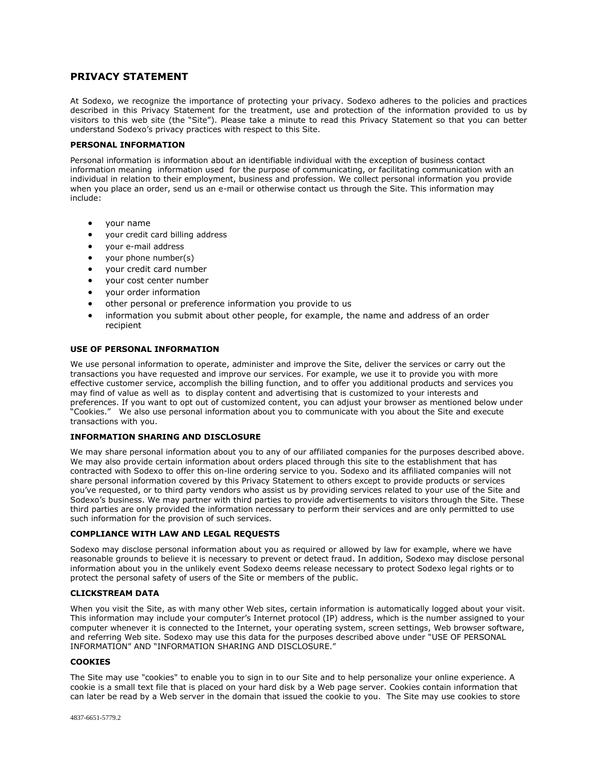# **PRIVACY STATEMENT**

At Sodexo, we recognize the importance of protecting your privacy. Sodexo adheres to the policies and practices described in this Privacy Statement for the treatment, use and protection of the information provided to us by visitors to this web site (the "Site"). Please take a minute to read this Privacy Statement so that you can better understand Sodexo's privacy practices with respect to this Site.

### **PERSONAL INFORMATION**

Personal information is information about an identifiable individual with the exception of business contact information meaning information used for the purpose of communicating, or facilitating communication with an individual in relation to their employment, business and profession. We collect personal information you provide when you place an order, send us an e-mail or otherwise contact us through the Site. This information may include:

- your name
- your credit card billing address
- your e-mail address
- your phone number(s)
- your credit card number
- your cost center number
- vour order information
- other personal or preference information you provide to us
- information you submit about other people, for example, the name and address of an order recipient

## **USE OF PERSONAL INFORMATION**

We use personal information to operate, administer and improve the Site, deliver the services or carry out the transactions you have requested and improve our services. For example, we use it to provide you with more effective customer service, accomplish the billing function, and to offer you additional products and services you may find of value as well as to display content and advertising that is customized to your interests and preferences. If you want to opt out of customized content, you can adjust your browser as mentioned below under "Cookies." We also use personal information about you to communicate with you about the Site and execute transactions with you.

## **INFORMATION SHARING AND DISCLOSURE**

We may share personal information about you to any of our affiliated companies for the purposes described above. We may also provide certain information about orders placed through this site to the establishment that has contracted with Sodexo to offer this on-line ordering service to you. Sodexo and its affiliated companies will not share personal information covered by this Privacy Statement to others except to provide products or services you've requested, or to third party vendors who assist us by providing services related to your use of the Site and Sodexo's business. We may partner with third parties to provide advertisements to visitors through the Site. These third parties are only provided the information necessary to perform their services and are only permitted to use such information for the provision of such services.

### **COMPLIANCE WITH LAW AND LEGAL REQUESTS**

Sodexo may disclose personal information about you as required or allowed by law for example, where we have reasonable grounds to believe it is necessary to prevent or detect fraud. In addition, Sodexo may disclose personal information about you in the unlikely event Sodexo deems release necessary to protect Sodexo legal rights or to protect the personal safety of users of the Site or members of the public.

### **CLICKSTREAM DATA**

When you visit the Site, as with many other Web sites, certain information is automatically logged about your visit. This information may include your computer's Internet protocol (IP) address, which is the number assigned to your computer whenever it is connected to the Internet, your operating system, screen settings, Web browser software, and referring Web site. Sodexo may use this data for the purposes described above under "USE OF PERSONAL INFORMATION" AND "INFORMATION SHARING AND DISCLOSURE."

## **COOKIES**

The Site may use "cookies" to enable you to sign in to our Site and to help personalize your online experience. A cookie is a small text file that is placed on your hard disk by a Web page server. Cookies contain information that can later be read by a Web server in the domain that issued the cookie to you. The Site may use cookies to store